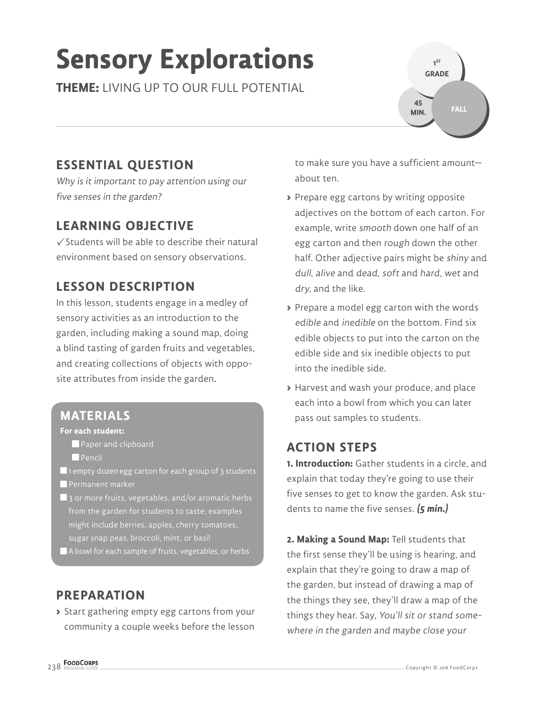# **Sensory Explorations**

**THEME:** LIVING UP TO OUR FULL POTENTIAL

# **ESSENTIAL QUESTION**

Why is it important to pay attention using our five senses in the garden?

## **LEARNING OBJECTIVE**

 $\checkmark$  Students will be able to describe their natural environment based on sensory observations.

# **LESSON DESCRIPTION**

In this lesson, students engage in a medley of sensory activities as an introduction to the garden, including making a sound map, doing a blind tasting of garden fruits and vegetables, and creating collections of objects with opposite attributes from inside the garden.

#### **MATERIALS**

#### **For each student:**

- Paper and clipboard
- **Pencil**
- $\blacksquare$  1 empty dozen egg carton for each group of 3 students **Permanent marker**
- $\blacksquare$  3 or more fruits, vegetables, and/or aromatic herbs from the garden for students to taste; examples might include berries, apples, cherry tomatoes, sugar snap peas, broccoli, mint, or basil
- A bowl for each sample of fruits, vegetables, or herbs

# **PREPARATION**

**>** Start gathering empty egg cartons from your community a couple weeks before the lesson

to make sure you have a sufficient amount about ten.

**1 ST GRADE** 

**45 MIN.**

**FALL**

- **>** Prepare egg cartons by writing opposite adjectives on the bottom of each carton. For example, write smooth down one half of an egg carton and then rough down the other half. Other adjective pairs might be shiny and dull, alive and dead, soft and hard, wet and dry, and the like.
- **>** Prepare a model egg carton with the words edible and inedible on the bottom. Find six edible objects to put into the carton on the edible side and six inedible objects to put into the inedible side.
- **>** Harvest and wash your produce, and place each into a bowl from which you can later pass out samples to students.

# **ACTION STEPS**

**1. Introduction:** Gather students in a circle, and explain that today they're going to use their five senses to get to know the garden. Ask students to name the five senses. **(5 min.)**

**2. Making a Sound Map:** Tell students that the first sense they'll be using is hearing, and explain that they're going to draw a map of the garden, but instead of drawing a map of the things they see, they'll draw a map of the things they hear. Say, You'll sit or stand somewhere in the garden and maybe close your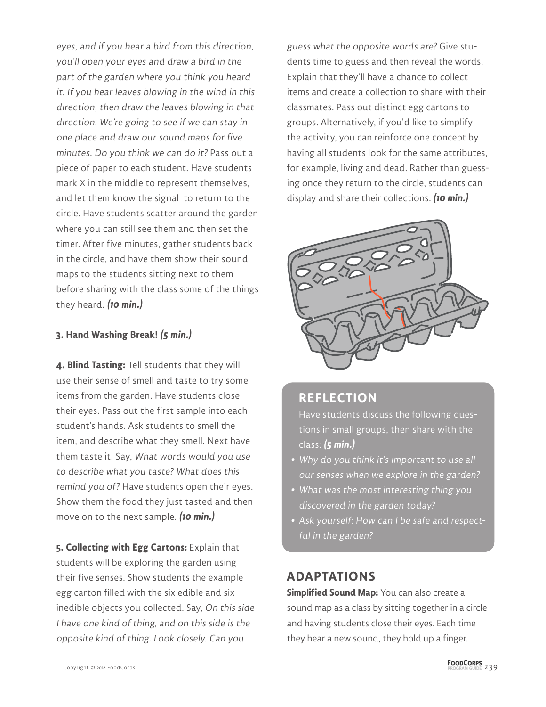eyes, and if you hear a bird from this direction, you'll open your eyes and draw a bird in the part of the garden where you think you heard it. If you hear leaves blowing in the wind in this direction, then draw the leaves blowing in that direction. We're going to see if we can stay in one place and draw our sound maps for five minutes. Do you think we can do it? Pass out a piece of paper to each student. Have students mark X in the middle to represent themselves, and let them know the signal to return to the circle. Have students scatter around the garden where you can still see them and then set the timer. After five minutes, gather students back in the circle, and have them show their sound maps to the students sitting next to them before sharing with the class some of the things they heard. **(10 min.)**

#### **3. Hand Washing Break! (5 min.)**

**4. Blind Tasting:** Tell students that they will use their sense of smell and taste to try some items from the garden. Have students close their eyes. Pass out the first sample into each student's hands. Ask students to smell the item, and describe what they smell. Next have them taste it. Say, What words would you use to describe what you taste? What does this remind you of? Have students open their eyes. Show them the food they just tasted and then move on to the next sample. **(10 min.)**

**5. Collecting with Egg Cartons:** Explain that students will be exploring the garden using their five senses. Show students the example egg carton filled with the six edible and six inedible objects you collected. Say, On this side I have one kind of thing, and on this side is the opposite kind of thing. Look closely. Can you

guess what the opposite words are? Give students time to guess and then reveal the words. Explain that they'll have a chance to collect items and create a collection to share with their classmates. Pass out distinct egg cartons to groups. Alternatively, if you'd like to simplify the activity, you can reinforce one concept by having all students look for the same attributes, for example, living and dead. Rather than guessing once they return to the circle, students can display and share their collections. **(10 min.)**



### **REFLECTION**

Have students discuss the following questions in small groups, then share with the class: **(5 min.)**

- **•** Why do you think it's important to use all our senses when we explore in the garden?
- **•** What was the most interesting thing you discovered in the garden today?
- **•** Ask yourself: How can I be safe and respectful in the garden?

#### **ADAPTATIONS**

**Simplified Sound Map:** You can also create a sound map as a class by sitting together in a circle and having students close their eyes. Each time they hear a new sound, they hold up a finger.